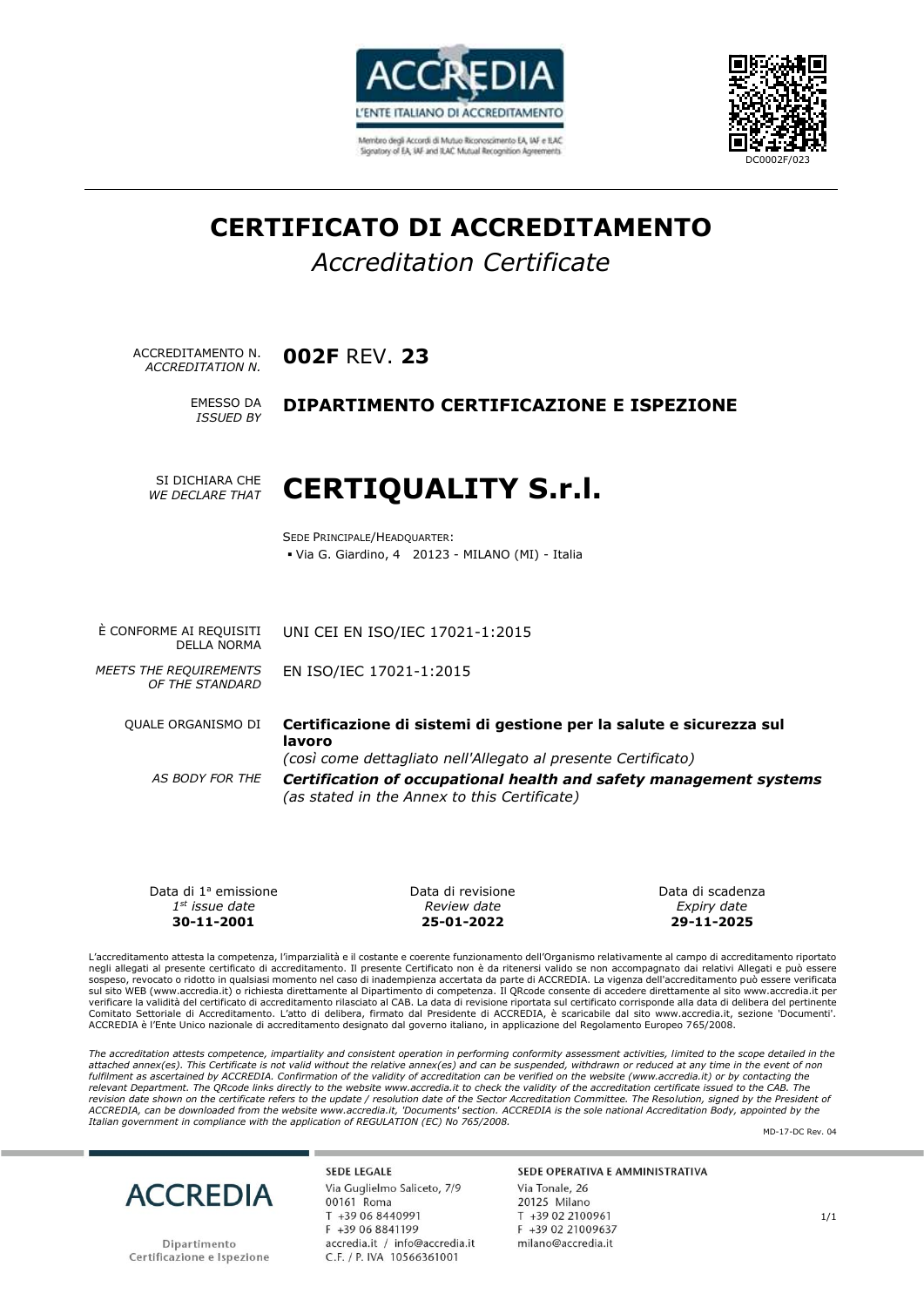

Membro degli Accordi di Mutuo Riconoscimento EA, IAF e ILAC Signatory of EA, IAF and ILAC Mutual Recognition Agreements



# **CERTIFICATO DI ACCREDITAMENTO**

# *Accreditation Certificate*

ACCREDITAMENTO N. **002F** REV. **23** *ACCREDITATION N.* 

*ISSUED BY*

### **EMESSO DA DIPARTIMENTO CERTIFICAZIONE E ISPEZIONE**

SI DICHIARA CHE *WE DECLARE THAT* 

# **CERTIQUALITY S.r.l.**

SEDE PRINCIPALE/HEADQUARTER: ▪ Via G. Giardino, 4 20123 - MILANO (MI) - Italia

UNI CEI EN ISO/IEC 17021-1:2015

EN ISO/IEC 17021-1:2015

È CONFORME AI REQUISITI DELLA NORMA

*MEETS THE REQUIREMENTS OF THE STANDARD* 

QUALE ORGANISMO DI **Certificazione di sistemi di gestione per la salute e sicurezza sul lavoro**  *(così come dettagliato nell'Allegato al presente Certificato) AS BODY FOR THE Certification of occupational health and safety management systems (as stated in the Annex to this Certificate)*

Data di 1ª emissione *1 st issue date*  **30-11-2001**

Data di revisione *Review date*  **25-01-2022**

Data di scadenza *Expiry date*  **29-11-2025**

L'accreditamento attesta la competenza, l'imparzialità e il costante e coerente funzionamento dell'Organismo relativamente al campo di accreditamento riportato negli allegati al presente certificato di accreditamento. Il presente Certificato non è da ritenersi valido se non accompagnato dai relativi Allegati e può essere sospeso, revocato o ridotto in qualsiasi momento nel caso di inadempienza accertata da parte di ACCREDIA. La vigenza dell'accreditamento può essere verificata<br>sul sito WEB (www.accredia.it) o richiesta direttamente al Dipa verificare la validità del certificato di accreditamento rilasciato al CAB. La data di revisione riportata sul certificato corrisponde alla data di delibera del pertinente Comitato Settoriale di Accreditamento. L'atto di delibera, firmato dal Presidente di ACCREDIA, è scaricabile dal sito www.accredia.it, sezione 'Documenti'. ACCREDIA è l'Ente Unico nazionale di accreditamento designato dal governo italiano, in applicazione del Regolamento Europeo 765/2008.

The accreditation attests competence, impartiality and consistent operation in performing conformity assessment activities, limited to the scope detailed in the *attached annex(es). This Certificate is not valid without the relative annex(es) and can be suspended, withdrawn or reduced at any time in the event of non fulfilment as ascertained by ACCREDIA. Confirmation of the validity of accreditation can be verified on the website (www.accredia.it) or by contacting the*  relevant Department. The QRcode links directly to the website www.accredia.it to check the validity of the accreditation certificate issued to the CAB. The<br>revision date shown on the certificate refers to the update / reso *ACCREDIA, can be downloaded from the website www.accredia.it, 'Documents' section. ACCREDIA is the sole national Accreditation Body, appointed by the Italian government in compliance with the application of REGULATION (EC) No 765/2008.*

MD-17-DC Rev. 04



Dipartimento Certificazione e Ispezione

**SEDE LEGALE** Via Guglielmo Saliceto, 7/9 00161 Roma T +39 06 8440991 F +39 06 8841199 accredia.it / info@accredia.it C.E. / P. IVA 10566361001

#### SEDE OPERATIVA E AMMINISTRATIVA

Via Tonale 26 20125 Milano T +39 02 2100961  $F + 390221009637$ milano@accredia.it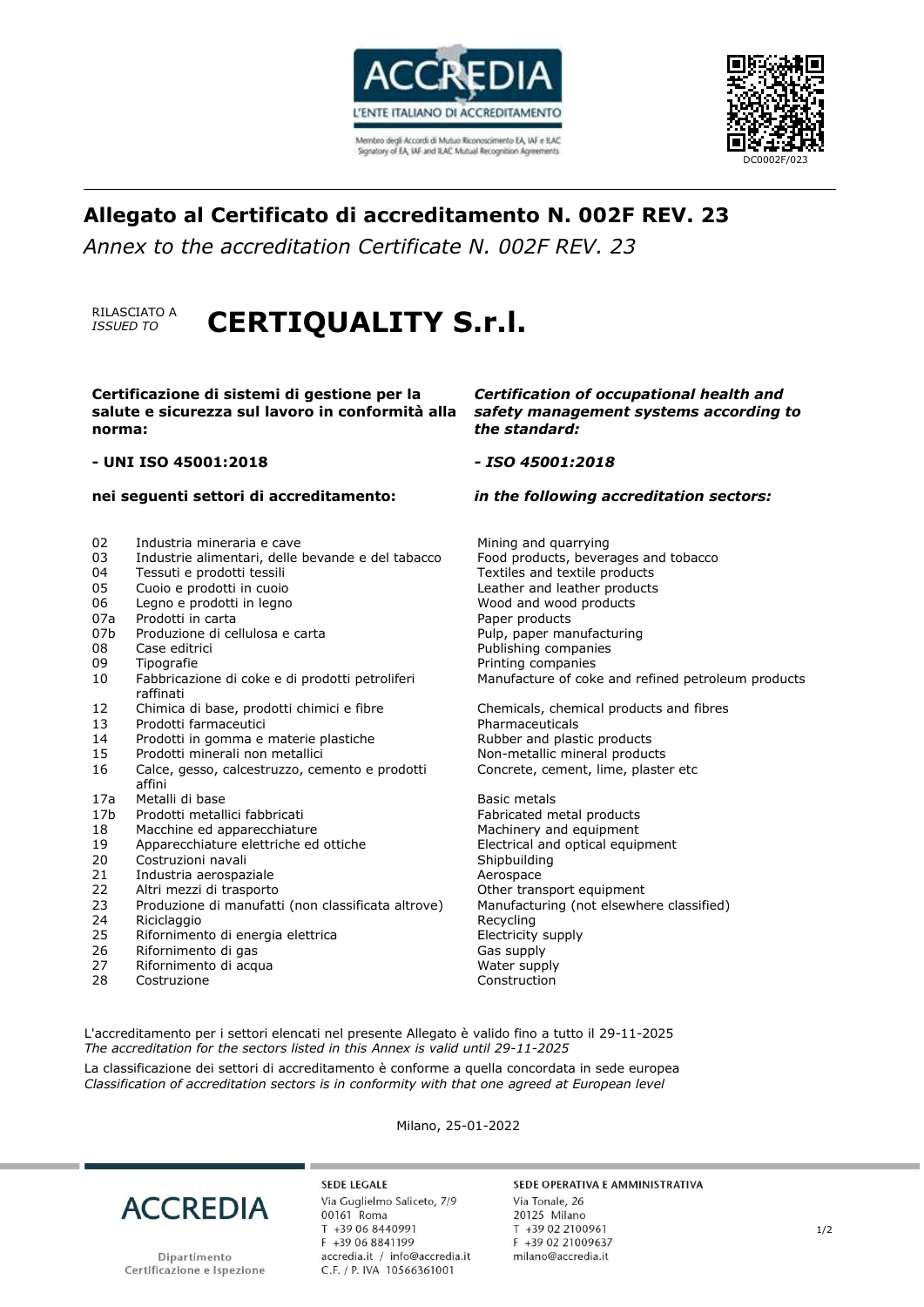

Membro degli Accordi di Mutuo Riconoscimento EA, IAF e ILAC Signatory of EA, IAF and ILAC Mutual Recognition Agreements



# **Allegato al Certificato di accreditamento N. 002F REV. 23**

*Annex to the accreditation Certificate N. 002F REV. 23*

### RILASCIATO A<br>*ISSUED TO ISSUED TO* **CERTIQUALITY S.r.l.**

**Certificazione di sistemi di gestione per la salute e sicurezza sul lavoro in conformità alla norma:** 

#### **- UNI ISO 45001:2018**

#### **nei seguenti settori di accreditamento:**

- 
- 03 Industrie alimentari, delle bevande e del tabacco <sup>04</sup> Tessuti e prodotti tessili
- 
- 
- 
- 
- 07b Produzione di cellulosa e carta e pulp, paper manufacturing
- 
- 
- 10 Fabbricazione di coke e di prodotti petroliferi raffinati
- 
- Prodotti farmaceutici
- 
- 
- 16 Calce, gesso, calcestruzzo, cemento e prodotti affini
- 17a Metalli di base **Basic metals** Basic metals
- 17b Prodotti metallici fabbricati Fabricated metal products
- 
- 
- Costruzioni navali and all states of the Shipbuilding
- 21 Industria aerospaziale Aerospace
- 22 Altri mezzi di trasporto Other transport equipment
- 23 Produzione di manufatti (non classificata altrove) Manufacturing (not elsewhere classified)
- 24 Riciclaggio **Recycling**
- 25 Rifornimento di energia elettrica energia electricity supply
- 26 Rifornimento di gas Gas supply
- 27 Rifornimento di acqua
- 28 Costruzione **Construction**

#### *Certification of occupational health and safety management systems according to the standard:*

#### *- ISO 45001:2018*

#### *in the following accreditation sectors:*

02 Industria mineraria e cave entity and quarrying and quarrying<br>03 Industrie alimentari, delle bevande e del tabacco Food products, beverages and tobacco 04 Tessuti e prodotti tessili e subsequent subsequent textiles and textile products of the control of the control of the control of the control of the control of the control of the control of the control of the control of 05 Cuoio e prodotti in cuoio e componenti cuoio de leather and leather products<br>06 Legno e prodotti in legno 06 Legno e prodotti in legno and wood and wood products when the wood products of the products of the products of the products of the control of the products of the control of the products of the control of the control of Paper products 08 Case editrici and the companies of the Publishing companies<br>09 Tipografie companies of the Printing companies 09 Tipografie Printing companies Manufacture of coke and refined petroleum products

12 Chimica di base, prodotti chimici e fibre Chemicals, chemical products and fibres 14 Prodotti in gomma e materie plastiche and plastic products Products<br>15 Prodotti minerali non metallici in anno 1980 Non-metallic mineral products Non-metallic mineral products Concrete, cement, lime, plaster etc

18 Macchine ed apparecchiature metal is a machinery and equipment<br>19 Apparecchiature elettriche ed ottiche metal explorer effectrical and optical equip 19 Apparecchiature elettriche ed ottiche and Electrical and optical equipment<br>20 Costruzioni navali equipment Shipbuilding

L'accreditamento per i settori elencati nel presente Allegato è valido fino a tutto il 29-11-2025 *The accreditation for the sectors listed in this Annex is valid until 29-11-2025*

La classificazione dei settori di accreditamento è conforme a quella concordata in sede europea *Classification of accreditation sectors is in conformity with that one agreed at European level*

Milano, 25-01-2022



Dipartimento Certificazione e Ispezione **SEDE LEGALE** Via Guglielmo Saliceto, 7/9 00161 Roma T +39 06 8440991 F +39 06 8841199 accredia.it / info@accredia.it C.F. / P. IVA 10566361001

#### SEDE OPERATIVA E AMMINISTRATIVA

Via Tonale, 26 20125 Milano T +39 02 2100961 F +39 02 21009637 milano@accredia.it